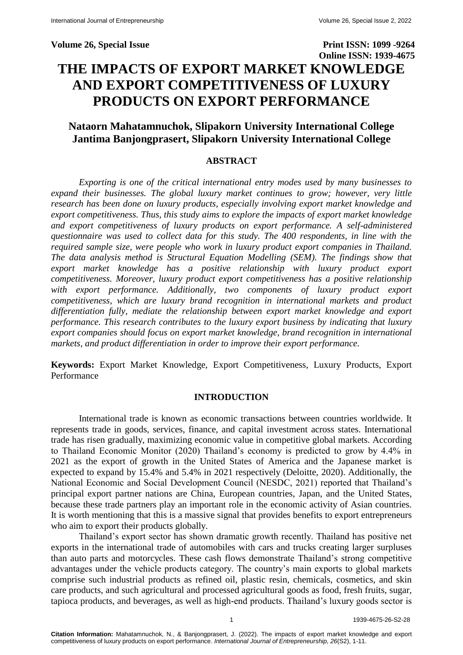### **Volume 26, Special Issue Print ISSN: 1099 -9264**

**Online ISSN: 1939-4675 THE IMPACTS OF EXPORT MARKET KNOWLEDGE AND EXPORT COMPETITIVENESS OF LUXURY PRODUCTS ON EXPORT PERFORMANCE**

# **Nataorn Mahatamnuchok, Slipakorn University International College Jantima Banjongprasert, Slipakorn University International College**

### **ABSTRACT**

*Exporting is one of the critical international entry modes used by many businesses to expand their businesses. The global luxury market continues to grow; however, very little research has been done on luxury products, especially involving export market knowledge and export competitiveness. Thus, this study aims to explore the impacts of export market knowledge and export competitiveness of luxury products on export performance. A self-administered questionnaire was used to collect data for this study. The 400 respondents, in line with the required sample size, were people who work in luxury product export companies in Thailand. The data analysis method is Structural Equation Modelling (SEM). The findings show that export market knowledge has a positive relationship with luxury product export competitiveness. Moreover, luxury product export competitiveness has a positive relationship*  with export performance. Additionally, two components of luxury product export *competitiveness, which are luxury brand recognition in international markets and product differentiation fully, mediate the relationship between export market knowledge and export performance. This research contributes to the luxury export business by indicating that luxury export companies should focus on export market knowledge, brand recognition in international markets, and product differentiation in order to improve their export performance.* 

**Keywords:** Export Market Knowledge, Export Competitiveness, Luxury Products, Export Performance

### **INTRODUCTION**

International trade is known as economic transactions between countries worldwide. It represents trade in goods, services, finance, and capital investment across states. International trade has risen gradually, maximizing economic value in competitive global markets. According to Thailand Economic Monitor (2020) Thailand's economy is predicted to grow by 4.4% in 2021 as the export of growth in the United States of America and the Japanese market is expected to expand by 15.4% and 5.4% in 2021 respectively (Deloitte, 2020). Additionally, the National Economic and Social Development Council (NESDC, 2021) reported that Thailand's principal export partner nations are China, European countries, Japan, and the United States, because these trade partners play an important role in the economic activity of Asian countries. It is worth mentioning that this is a massive signal that provides benefits to export entrepreneurs who aim to export their products globally.

Thailand's export sector has shown dramatic growth recently. Thailand has positive net exports in the international trade of automobiles with cars and trucks creating larger surpluses than auto parts and motorcycles. These cash flows demonstrate Thailand's strong competitive advantages under the vehicle products category. The country's main exports to global markets comprise such industrial products as refined oil, plastic resin, chemicals, cosmetics, and skin care products, and such agricultural and processed agricultural goods as food, fresh fruits, sugar, tapioca products, and beverages, as well as high-end products. Thailand's luxury goods sector is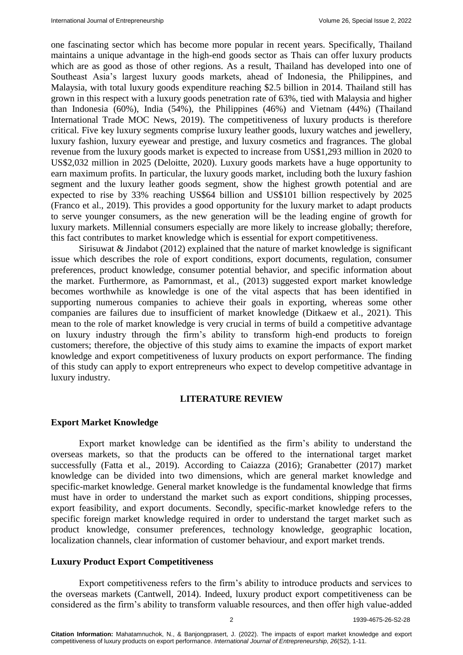one fascinating sector which has become more popular in recent years. Specifically, Thailand maintains a unique advantage in the high-end goods sector as Thais can offer luxury products which are as good as those of other regions. As a result, Thailand has developed into one of Southeast Asia's largest luxury goods markets, ahead of Indonesia, the Philippines, and Malaysia, with total luxury goods expenditure reaching \$2.5 billion in 2014. Thailand still has grown in this respect with a luxury goods penetration rate of 63%, tied with Malaysia and higher than Indonesia (60%), India (54%), the Philippines (46%) and Vietnam (44%) (Thailand International Trade MOC News, 2019). The competitiveness of luxury products is therefore critical. Five key luxury segments comprise luxury leather goods, luxury watches and jewellery, luxury fashion, luxury eyewear and prestige, and luxury cosmetics and fragrances. The global revenue from the luxury goods market is expected to increase from US\$1,293 million in 2020 to US\$2,032 million in 2025 (Deloitte, 2020). Luxury goods markets have a huge opportunity to earn maximum profits. In particular, the luxury goods market, including both the luxury fashion segment and the luxury leather goods segment, show the highest growth potential and are expected to rise by 33% reaching US\$64 billion and US\$101 billion respectively by 2025 (Franco et al., 2019). This provides a good opportunity for the luxury market to adapt products to serve younger consumers, as the new generation will be the leading engine of growth for luxury markets. Millennial consumers especially are more likely to increase globally; therefore, this fact contributes to market knowledge which is essential for export competitiveness.

Sirisuwat & Jindabot (2012) explained that the nature of market knowledge is significant issue which describes the role of export conditions, export documents, regulation, consumer preferences, product knowledge, consumer potential behavior, and specific information about the market. Furthermore, as Pamornmast, et al., (2013) suggested export market knowledge becomes worthwhile as knowledge is one of the vital aspects that has been identified in supporting numerous companies to achieve their goals in exporting, whereas some other companies are failures due to insufficient of market knowledge (Ditkaew et al., 2021). This mean to the role of market knowledge is very crucial in terms of build a competitive advantage on luxury industry through the firm's ability to transform high-end products to foreign customers; therefore, the objective of this study aims to examine the impacts of export market knowledge and export competitiveness of luxury products on export performance. The finding of this study can apply to export entrepreneurs who expect to develop competitive advantage in luxury industry.

### **LITERATURE REVIEW**

### **Export Market Knowledge**

Export market knowledge can be identified as the firm's ability to understand the overseas markets, so that the products can be offered to the international target market successfully (Fatta et al., 2019). According to Caiazza (2016); Granabetter (2017) market knowledge can be divided into two dimensions, which are general market knowledge and specific-market knowledge. General market knowledge is the fundamental knowledge that firms must have in order to understand the market such as export conditions, shipping processes, export feasibility, and export documents. Secondly, specific-market knowledge refers to the specific foreign market knowledge required in order to understand the target market such as product knowledge, consumer preferences, technology knowledge, geographic location, localization channels, clear information of customer behaviour, and export market trends.

### **Luxury Product Export Competitiveness**

Export competitiveness refers to the firm's ability to introduce products and services to the overseas markets (Cantwell, 2014). Indeed, luxury product export competitiveness can be considered as the firm's ability to transform valuable resources, and then offer high value-added

**Citation Information:** Mahatamnuchok, N., & Banjongprasert, J. (2022). The impacts of export market knowledge and export competitiveness of luxury products on export performance. *International Journal of Entrepreneurship, 26*(S2), 1-11.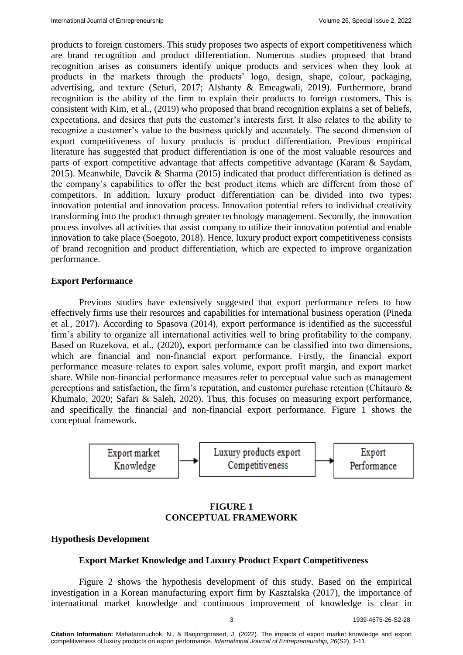products to foreign customers. This study proposes two aspects of export competitiveness which are brand recognition and product differentiation. Numerous studies proposed that brand recognition arises as consumers identify unique products and services when they look at products in the markets through the products' logo, design, shape, colour, packaging, advertising, and texture (Seturi, 2017; Alshanty & Emeagwali, 2019). Furthermore, brand recognition is the ability of the firm to explain their products to foreign customers. This is consistent with Kim, et al., (2019) who proposed that brand recognition explains a set of beliefs, expectations, and desires that puts the customer's interests first. It also relates to the ability to recognize a customer's value to the business quickly and accurately. The second dimension of export competitiveness of luxury products is product differentiation. Previous empirical literature has suggested that product differentiation is one of the most valuable resources and parts of export competitive advantage that affects competitive advantage (Karam & Saydam, 2015). Meanwhile, Davcik & Sharma (2015) indicated that product differentiation is defined as the company's capabilities to offer the best product items which are different from those of competitors. In addition, luxury product differentiation can be divided into two types: innovation potential and innovation process. Innovation potential refers to individual creativity transforming into the product through greater technology management. Secondly, the innovation process involves all activities that assist company to utilize their innovation potential and enable innovation to take place (Soegoto, 2018). Hence, luxury product export competitiveness consists of brand recognition and product differentiation, which are expected to improve organization performance.

### **Export Performance**

Previous studies have extensively suggested that export performance refers to how effectively firms use their resources and capabilities for international business operation (Pineda et al., 2017). According to Spasova (2014), export performance is identified as the successful firm's ability to organize all international activities well to bring profitability to the company. Based on Ruzekova, et al., (2020), export performance can be classified into two dimensions, which are financial and non-financial export performance. Firstly, the financial export performance measure relates to export sales volume, export profit margin, and export market share. While non-financial performance measures refer to perceptual value such as management perceptions and satisfaction, the firm's reputation, and customer purchase retention (Chitauro & Khumalo, 2020; Safari & Saleh, 2020). Thus, this focuses on measuring export performance, and specifically the financial and non-financial export performance. Figure 1 shows the conceptual framework.



### **FIGURE 1 CONCEPTUAL FRAMEWORK**

### **Hypothesis Development**

# **Export Market Knowledge and Luxury Product Export Competitiveness**

Figure 2 shows the hypothesis development of this study. Based on the empirical investigation in a Korean manufacturing export firm by Kasztalska (2017), the importance of international market knowledge and continuous improvement of knowledge is clear in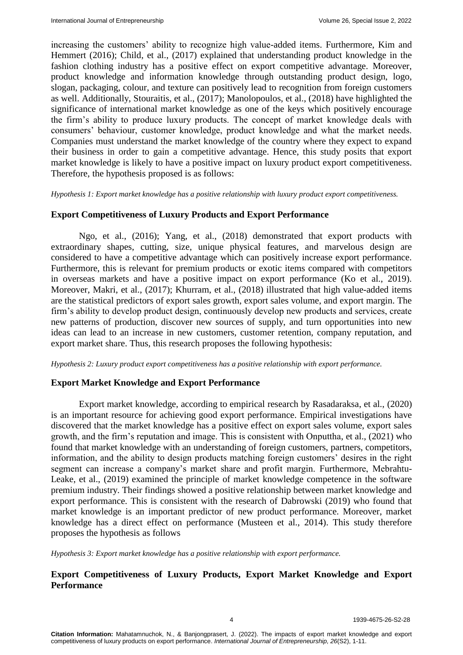increasing the customers' ability to recognize high value-added items. Furthermore, Kim and Hemmert (2016); Child, et al., (2017) explained that understanding product knowledge in the fashion clothing industry has a positive effect on export competitive advantage. Moreover, product knowledge and information knowledge through outstanding product design, logo, slogan, packaging, colour, and texture can positively lead to recognition from foreign customers as well. Additionally, Stouraitis, et al., (2017); Manolopoulos, et al., (2018) have highlighted the significance of international market knowledge as one of the keys which positively encourage the firm's ability to produce luxury products. The concept of market knowledge deals with consumers' behaviour, customer knowledge, product knowledge and what the market needs. Companies must understand the market knowledge of the country where they expect to expand their business in order to gain a competitive advantage. Hence, this study posits that export market knowledge is likely to have a positive impact on luxury product export competitiveness. Therefore, the hypothesis proposed is as follows:

*Hypothesis 1: Export market knowledge has a positive relationship with luxury product export competitiveness.*

### **Export Competitiveness of Luxury Products and Export Performance**

Ngo, et al., (2016); Yang, et al., (2018) demonstrated that export products with extraordinary shapes, cutting, size, unique physical features, and marvelous design are considered to have a competitive advantage which can positively increase export performance. Furthermore, this is relevant for premium products or exotic items compared with competitors in overseas markets and have a positive impact on export performance (Ko et al., 2019). Moreover, Makri, et al., (2017); Khurram, et al., (2018) illustrated that high value-added items are the statistical predictors of export sales growth, export sales volume, and export margin. The firm's ability to develop product design, continuously develop new products and services, create new patterns of production, discover new sources of supply, and turn opportunities into new ideas can lead to an increase in new customers, customer retention, company reputation, and export market share. Thus, this research proposes the following hypothesis:

*Hypothesis 2: Luxury product export competitiveness has a positive relationship with export performance.*

### **Export Market Knowledge and Export Performance**

Export market knowledge, according to empirical research by Rasadaraksa, et al., (2020) is an important resource for achieving good export performance. Empirical investigations have discovered that the market knowledge has a positive effect on export sales volume, export sales growth, and the firm's reputation and image. This is consistent with Onputtha, et al., (2021) who found that market knowledge with an understanding of foreign customers, partners, competitors, information, and the ability to design products matching foreign customers' desires in the right segment can increase a company's market share and profit margin. Furthermore, Mebrahtu-Leake, et al., (2019) examined the principle of market knowledge competence in the software premium industry. Their findings showed a positive relationship between market knowledge and export performance. This is consistent with the research of Dabrowski (2019) who found that market knowledge is an important predictor of new product performance. Moreover, market knowledge has a direct effect on performance (Musteen et al., 2014). This study therefore proposes the hypothesis as follows

*Hypothesis 3: Export market knowledge has a positive relationship with export performance.*

# **Export Competitiveness of Luxury Products, Export Market Knowledge and Export Performance**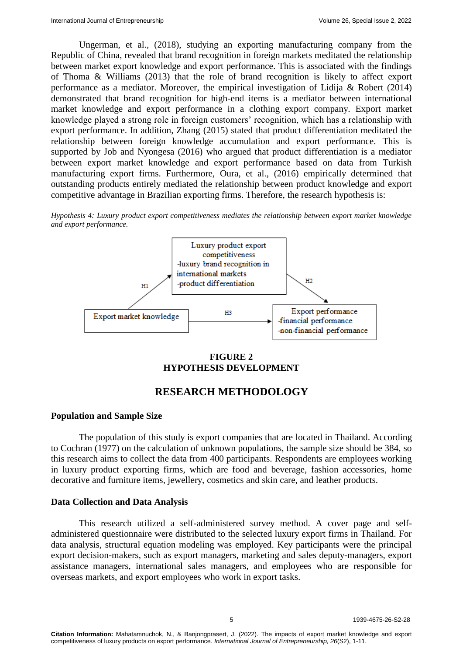Ungerman, et al., (2018), studying an exporting manufacturing company from the Republic of China, revealed that brand recognition in foreign markets meditated the relationship between market export knowledge and export performance. This is associated with the findings of Thoma & Williams (2013) that the role of brand recognition is likely to affect export performance as a mediator. Moreover, the empirical investigation of Lidija & Robert (2014) demonstrated that brand recognition for high-end items is a mediator between international market knowledge and export performance in a clothing export company. Export market knowledge played a strong role in foreign customers' recognition, which has a relationship with export performance. In addition, Zhang (2015) stated that product differentiation meditated the relationship between foreign knowledge accumulation and export performance. This is supported by Job and Nyongesa (2016) who argued that product differentiation is a mediator between export market knowledge and export performance based on data from Turkish manufacturing export firms. Furthermore, Oura, et al., (2016) empirically determined that outstanding products entirely mediated the relationship between product knowledge and export competitive advantage in Brazilian exporting firms. Therefore, the research hypothesis is:

*Hypothesis 4: Luxury product export competitiveness mediates the relationship between export market knowledge and export performance.*



# **FIGURE 2 HYPOTHESIS DEVELOPMENT**

# **RESEARCH METHODOLOGY**

# **Population and Sample Size**

The population of this study is export companies that are located in Thailand. According to Cochran (1977) on the calculation of unknown populations, the sample size should be 384, so this research aims to collect the data from 400 participants. Respondents are employees working in luxury product exporting firms, which are food and beverage, fashion accessories, home decorative and furniture items, jewellery, cosmetics and skin care, and leather products.

# **Data Collection and Data Analysis**

This research utilized a self-administered survey method. A cover page and selfadministered questionnaire were distributed to the selected luxury export firms in Thailand. For data analysis, structural equation modeling was employed. Key participants were the principal export decision-makers, such as export managers, marketing and sales deputy-managers, export assistance managers, international sales managers, and employees who are responsible for overseas markets, and export employees who work in export tasks.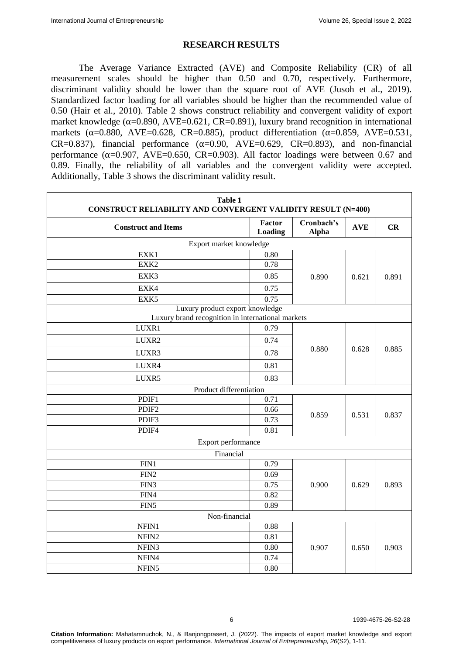### **RESEARCH RESULTS**

The Average Variance Extracted (AVE) and Composite Reliability (CR) of all measurement scales should be higher than 0.50 and 0.70, respectively. Furthermore, discriminant validity should be lower than the square root of AVE (Jusoh et al., 2019). Standardized factor loading for all variables should be higher than the recommended value of 0.50 (Hair et al., 2010). Table 2 shows construct reliability and convergent validity of export market knowledge ( $\alpha$ =0.890, AVE=0.621, CR=0.891), luxury brand recognition in international markets ( $\alpha$ =0.880, AVE=0.628, CR=0.885), product differentiation ( $\alpha$ =0.859, AVE=0.531, CR=0.837), financial performance  $(\alpha=0.90, \text{AVE}=0.629, \text{CR}=0.893)$ , and non-financial performance  $(\alpha=0.907, AVE=0.650, CR=0.903)$ . All factor loadings were between 0.67 and 0.89. Finally, the reliability of all variables and the convergent validity were accepted. Additionally, Table 3 shows the discriminant validity result.

| <b>Table 1</b><br><b>CONSTRUCT RELIABILITY AND CONVERGENT VALIDITY RESULT (N=400)</b> |                   |                            |            |       |  |  |
|---------------------------------------------------------------------------------------|-------------------|----------------------------|------------|-------|--|--|
| <b>Construct and Items</b>                                                            | Factor<br>Loading | Cronbach's<br><b>Alpha</b> | <b>AVE</b> | CR    |  |  |
| Export market knowledge                                                               |                   |                            |            |       |  |  |
| EXK1                                                                                  | 0.80              |                            |            |       |  |  |
| EXK2                                                                                  | 0.78              |                            |            |       |  |  |
| EXK3                                                                                  | 0.85              | 0.890                      | 0.621      | 0.891 |  |  |
| EXK4                                                                                  | 0.75              |                            |            |       |  |  |
| EXK5                                                                                  | 0.75              |                            |            |       |  |  |
| Luxury product export knowledge                                                       |                   |                            |            |       |  |  |
| Luxury brand recognition in international markets                                     |                   |                            |            |       |  |  |
| LUXR1                                                                                 | 0.79              |                            |            | 0.885 |  |  |
| LUXR2                                                                                 | 0.74              |                            | 0.628      |       |  |  |
| LUXR3                                                                                 | 0.78              | 0.880                      |            |       |  |  |
| LUXR4                                                                                 | 0.81              |                            |            |       |  |  |
| LUXR5                                                                                 | 0.83              |                            |            |       |  |  |
| Product differentiation                                                               |                   |                            |            |       |  |  |
| PDIF1                                                                                 | 0.71              |                            |            |       |  |  |
| PDIF <sub>2</sub>                                                                     | 0.66              |                            | 0.531      | 0.837 |  |  |
| PDIF3                                                                                 | 0.73              | 0.859                      |            |       |  |  |
| PDIF4                                                                                 | 0.81              |                            |            |       |  |  |
| Export performance                                                                    |                   |                            |            |       |  |  |
| Financial                                                                             |                   |                            |            |       |  |  |
| FIN1                                                                                  | 0.79              |                            |            |       |  |  |
| FIN <sub>2</sub>                                                                      | 0.69              |                            |            |       |  |  |
| FIN3                                                                                  | 0.75              | 0.900                      | 0.629      | 0.893 |  |  |
| FIN4                                                                                  | 0.82              |                            |            |       |  |  |
| FIN5                                                                                  | 0.89              |                            |            |       |  |  |
| Non-financial                                                                         |                   |                            |            |       |  |  |
| NFIN1                                                                                 | 0.88              |                            |            |       |  |  |
| NFIN <sub>2</sub>                                                                     | 0.81              |                            |            |       |  |  |
| NFIN3                                                                                 | 0.80              | 0.907                      | 0.650      | 0.903 |  |  |
| NFIN4                                                                                 | 0.74              |                            |            |       |  |  |
| NFIN5                                                                                 | 0.80              |                            |            |       |  |  |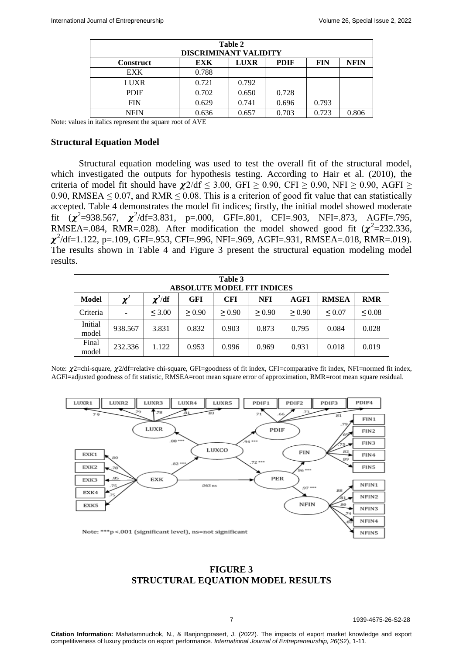| Table 2          |                              |             |             |            |             |  |  |
|------------------|------------------------------|-------------|-------------|------------|-------------|--|--|
|                  | <b>DISCRIMINANT VALIDITY</b> |             |             |            |             |  |  |
| <b>Construct</b> | <b>EXK</b>                   | <b>LUXR</b> | <b>PDIF</b> | <b>FIN</b> | <b>NFIN</b> |  |  |
| <b>EXK</b>       | 0.788                        |             |             |            |             |  |  |
| <b>LUXR</b>      | 0.721                        | 0.792       |             |            |             |  |  |
| <b>PDIF</b>      | 0.702                        | 0.650       | 0.728       |            |             |  |  |
| <b>FIN</b>       | 0.629                        | 0.741       | 0.696       | 0.793      |             |  |  |
| <b>NFIN</b>      | 0.636                        | 0.657       | 0.703       | 0.723      | 0.806       |  |  |

Note: values in italics represent the square root of AVE

#### **Structural Equation Model**

Structural equation modeling was used to test the overall fit of the structural model, which investigated the outputs for hypothesis testing. According to Hair et al. (2010), the criteria of model fit should have  $\chi$ 2/df  $\leq$  3.00, GFI  $\geq$  0.90, CFI  $\geq$  0.90, NFI  $\geq$  0.90, AGFI  $\geq$ 0.90, RMSEA  $\leq$  0.07, and RMR  $\leq$  0.08. This is a criterion of good fit value that can statistically accepted. Table 4 demonstrates the model fit indices; firstly, the initial model showed moderate fit  $(\chi^2=938.567, \chi^2/df=3.831, p=.000, GFI=.801, CFI=.903, NFI=.873, AGFI=.795,$ RMSEA=.084, RMR=.028). After modification the model showed good fit  $(\chi^2=232.336,$  $\chi^2$ /df=1.122, p=.109, GFI=.953, CFI=.996, NFI=.969, AGFI=.931, RMSEA=.018, RMR=.019). The results shown in Table 4 and Figure 3 present the structural equation modeling model results.

| Table 3<br><b>ABSOLUTE MODEL FIT INDICES</b> |                       |              |            |            |        |        |              |             |
|----------------------------------------------|-----------------------|--------------|------------|------------|--------|--------|--------------|-------------|
| <b>Model</b>                                 | $\boldsymbol{\chi}^2$ | $\chi^2$ /df | <b>GFI</b> | <b>CFI</b> | NFI    | AGFI   | <b>RMSEA</b> | <b>RMR</b>  |
| Criteria                                     | $\overline{a}$        | < 3.00       | > 0.90     | > 0.90     | > 0.90 | > 0.90 | $\leq 0.07$  | $\leq 0.08$ |
| Initial<br>model                             | 938.567               | 3.831        | 0.832      | 0.903      | 0.873  | 0.795  | 0.084        | 0.028       |
| Final<br>model                               | 232.336               | 1.122        | 0.953      | 0.996      | 0.969  | 0.931  | 0.018        | 0.019       |

Note:  $\chi$ 2=chi-square,  $\chi$ 2/df=relative chi-square, GFI=goodness of fit index, CFI=comparative fit index, NFI=normed fit index, AGFI=adjusted goodness of fit statistic, RMSEA=root mean square error of approximation, RMR=root mean square residual.



# **FIGURE 3 STRUCTURAL EQUATION MODEL RESULTS**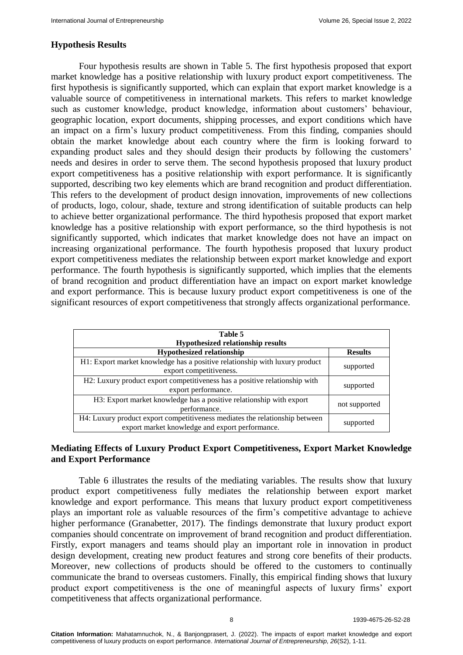### **Hypothesis Results**

Four hypothesis results are shown in Table 5. The first hypothesis proposed that export market knowledge has a positive relationship with luxury product export competitiveness. The first hypothesis is significantly supported, which can explain that export market knowledge is a valuable source of competitiveness in international markets. This refers to market knowledge such as customer knowledge, product knowledge, information about customers' behaviour, geographic location, export documents, shipping processes, and export conditions which have an impact on a firm's luxury product competitiveness. From this finding, companies should obtain the market knowledge about each country where the firm is looking forward to expanding product sales and they should design their products by following the customers' needs and desires in order to serve them. The second hypothesis proposed that luxury product export competitiveness has a positive relationship with export performance. It is significantly supported, describing two key elements which are brand recognition and product differentiation. This refers to the development of product design innovation, improvements of new collections of products, logo, colour, shade, texture and strong identification of suitable products can help to achieve better organizational performance. The third hypothesis proposed that export market knowledge has a positive relationship with export performance, so the third hypothesis is not significantly supported, which indicates that market knowledge does not have an impact on increasing organizational performance. The fourth hypothesis proposed that luxury product export competitiveness mediates the relationship between export market knowledge and export performance. The fourth hypothesis is significantly supported, which implies that the elements of brand recognition and product differentiation have an impact on export market knowledge and export performance. This is because luxury product export competitiveness is one of the significant resources of export competitiveness that strongly affects organizational performance.

| Table 5<br><b>Hypothesized relationship results</b>                                                                            |                |  |  |  |
|--------------------------------------------------------------------------------------------------------------------------------|----------------|--|--|--|
| <b>Hypothesized relationship</b>                                                                                               | <b>Results</b> |  |  |  |
| H1: Export market knowledge has a positive relationship with luxury product<br>export competitiveness.                         | supported      |  |  |  |
| H2: Luxury product export competitiveness has a positive relationship with<br>export performance.                              | supported      |  |  |  |
| H3: Export market knowledge has a positive relationship with export<br>performance.                                            | not supported  |  |  |  |
| H4: Luxury product export competitiveness mediates the relationship between<br>export market knowledge and export performance. | supported      |  |  |  |

# **Mediating Effects of Luxury Product Export Competitiveness, Export Market Knowledge and Export Performance**

Table 6 illustrates the results of the mediating variables. The results show that luxury product export competitiveness fully mediates the relationship between export market knowledge and export performance. This means that luxury product export competitiveness plays an important role as valuable resources of the firm's competitive advantage to achieve higher performance (Granabetter, 2017). The findings demonstrate that luxury product export companies should concentrate on improvement of brand recognition and product differentiation. Firstly, export managers and teams should play an important role in innovation in product design development, creating new product features and strong core benefits of their products. Moreover, new collections of products should be offered to the customers to continually communicate the brand to overseas customers. Finally, this empirical finding shows that luxury product export competitiveness is the one of meaningful aspects of luxury firms' export competitiveness that affects organizational performance.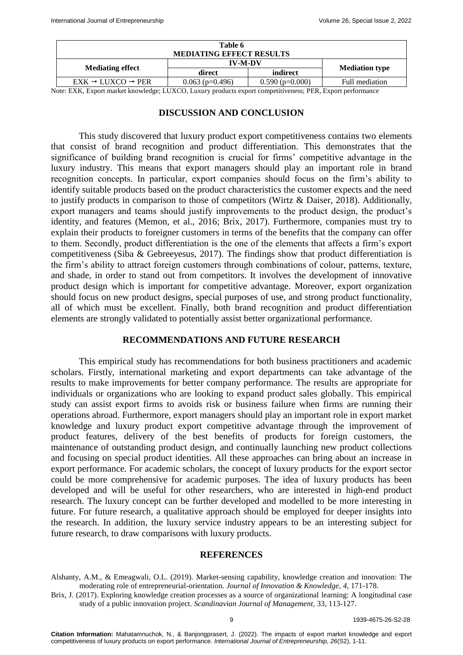| Table 6                                 |                   |                   |                       |
|-----------------------------------------|-------------------|-------------------|-----------------------|
| <b>MEDIATING EFFECT RESULTS</b>         |                   |                   |                       |
|                                         | <b>IV-M-DV</b>    |                   |                       |
| <b>Mediating effect</b>                 | direct            | indirect          | <b>Mediation type</b> |
| $EXK \rightarrow LUXCO \rightarrow PER$ | $0.063$ (p=0.496) | $0.590$ (p=0.000) | Full mediation        |

Note: EXK, Export market knowledge; LUXCO, Luxury products export competitiveness; PER, Export performance

# **DISCUSSION AND CONCLUSION**

This study discovered that luxury product export competitiveness contains two elements that consist of brand recognition and product differentiation. This demonstrates that the significance of building brand recognition is crucial for firms' competitive advantage in the luxury industry. This means that export managers should play an important role in brand recognition concepts. In particular, export companies should focus on the firm's ability to identify suitable products based on the product characteristics the customer expects and the need to justify products in comparison to those of competitors (Wirtz & Daiser, 2018). Additionally, export managers and teams should justify improvements to the product design, the product's identity, and features (Memon, et al., 2016; Brix, 2017). Furthermore, companies must try to explain their products to foreigner customers in terms of the benefits that the company can offer to them. Secondly, product differentiation is the one of the elements that affects a firm's export competitiveness (Siba & Gebreeyesus, 2017). The findings show that product differentiation is the firm's ability to attract foreign customers through combinations of colour, patterns, texture, and shade, in order to stand out from competitors. It involves the development of innovative product design which is important for competitive advantage. Moreover, export organization should focus on new product designs, special purposes of use, and strong product functionality, all of which must be excellent. Finally, both brand recognition and product differentiation elements are strongly validated to potentially assist better organizational performance.

# **RECOMMENDATIONS AND FUTURE RESEARCH**

This empirical study has recommendations for both business practitioners and academic scholars. Firstly, international marketing and export departments can take advantage of the results to make improvements for better company performance. The results are appropriate for individuals or organizations who are looking to expand product sales globally. This empirical study can assist export firms to avoids risk or business failure when firms are running their operations abroad. Furthermore, export managers should play an important role in export market knowledge and luxury product export competitive advantage through the improvement of product features, delivery of the best benefits of products for foreign customers, the maintenance of outstanding product design, and continually launching new product collections and focusing on special product identities. All these approaches can bring about an increase in export performance. For academic scholars, the concept of luxury products for the export sector could be more comprehensive for academic purposes. The idea of luxury products has been developed and will be useful for other researchers, who are interested in high-end product research. The luxury concept can be further developed and modelled to be more interesting in future. For future research, a qualitative approach should be employed for deeper insights into the research. In addition, the luxury service industry appears to be an interesting subject for future research, to draw comparisons with luxury products.

# **REFERENCES**

Brix, J. (2017). [Exploring knowledge creation processes as a source of organizational](https://www.sciencedirect.com/science/article/pii/S0956522116302470) learning: A longitudinal case [study of a public innovation project.](https://www.sciencedirect.com/science/article/pii/S0956522116302470) *Scandinavian Journal of Management,* 33, 113-127.

Alshanty, A.M., & Emeagwali, O.L. (2019). [Market-sensing capability, knowledge creation and innovation: The](https://www.sciencedirect.com/science/article/pii/S2444569X19300228)  [moderating role of entrepreneurial-orientation.](https://www.sciencedirect.com/science/article/pii/S2444569X19300228) *Journal of Innovation & Knowledge, 4,* 171-178.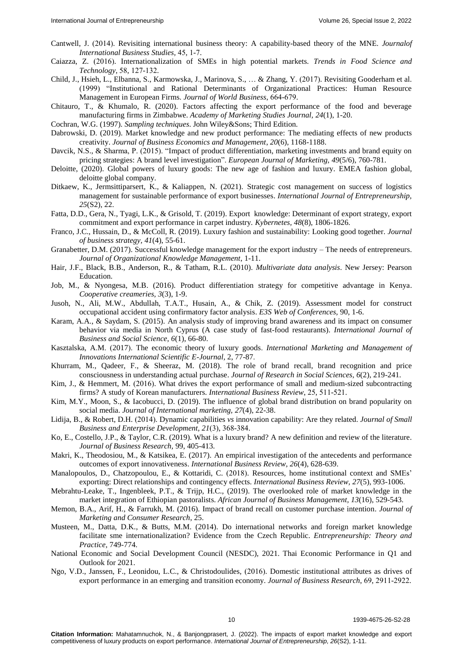- Cantwell, J. (2014). [Revisiting international business theory: A capability-based theory of](https://www.jstor.org/stable/43653791) the MNE. *Journalof International Business Studies,* 45, 1-7.
- Caiazza, Z. (2016). Internationalization of SMEs in [high potential markets.](https://www.sciencedirect.com/science/article/abs/pii/S0924224415300613#:~:text=Specifically%2C%20in%20the%20agro%2Dfood,central%20for%20their%20internationalization%20strategies.) *Trends in Food Science and Technology*, 58, 127-132.
- Child, J., Hsieh, L., Elbanna, S., Karmowska, J., Marinova, S., … & Zhang, Y. (2017). [Revisiting Gooderham et al.](https://www.sciencedirect.com/science/article/abs/pii/S1090951622000098)  [\(1999\) "Institutional and Rational Determinants of Organizational Practices: Human Resource](https://www.sciencedirect.com/science/article/abs/pii/S1090951622000098)  [Management in European Firms.](https://www.sciencedirect.com/science/article/abs/pii/S1090951622000098) *Journal of World Business*, 664-679.
- Chitauro, T., & Khumalo, R. (2020). [Factors affecting the export performance of the food and beverage](https://www.abacademies.org/articles/factors-affecting-the-export-performance-of-the-food-and-beverage-manufacturing-firms-in-zimbabwe-8986.html)  [manufacturing firms in](https://www.abacademies.org/articles/factors-affecting-the-export-performance-of-the-food-and-beverage-manufacturing-firms-in-zimbabwe-8986.html) Zimbabwe. *Academy of Marketing Studies Journal, 24*(1), 1-20.
- Cochran, W.G. (1997). *Sampling techniques*[. John Wiley&Sons; Third Edition.](https://towardsdatascience.com/sampling-techniques-a4e34111d808?gi=aec236b1b15d)
- Dabrowski, D. (2019). [Market knowledge and new product performance: The mediating effects of new products](https://www.semanticscholar.org/paper/MARKET-KNOWLEDGE-AND-NEW-PRODUCT-PERFORMANCE%3A-THE-D%C4%85browski/4a5bfe18d4883f121c83d1085d4f8dd82fa608d1)  [creativity.](https://www.semanticscholar.org/paper/MARKET-KNOWLEDGE-AND-NEW-PRODUCT-PERFORMANCE%3A-THE-D%C4%85browski/4a5bfe18d4883f121c83d1085d4f8dd82fa608d1) *Journal of Business Economics and Management*, *20*(6), 1168-1188.
- Davcik, N.S., & Sharma, P. (2015). ["Impact of product differentiation, marketing investments and brand equity on](https://www.emerald.com/insight/content/doi/10.1108/EJM-03-2014-0150/full/html)  [pricing strategies: A brand level investigation".](https://www.emerald.com/insight/content/doi/10.1108/EJM-03-2014-0150/full/html) *European Journal of Marketing, 49*(5/6), 760-781.
- Deloitte, (2020). [Global powers of luxury goods: The new age of fashion and luxury.](https://www2.deloitte.com/content/dam/Deloitte/at/Documents/consumer-business/at-global-powers-luxury-goods-2020.pdf) EMEA fashion global, deloitte global company.
- Ditkaew, K., Jermsittiparsert, K., & Kaliappen, N. (2021). [Strategic cost management on success of logistics](https://www.abacademies.org/articles/strategic-cost-management-on-success-of-logistics-management-for-sustainable-performance-of-export-businesses-11921.html)  [management for sustainable performance of export businesses.](https://www.abacademies.org/articles/strategic-cost-management-on-success-of-logistics-management-for-sustainable-performance-of-export-businesses-11921.html) *International Journal of Entrepreneurship, 25*(S2), 22.
- Fatta, D.D., Gera, N., Tyagi, L.K., & Grisold, T. (2019). [Export knowledge: Determinant of export strategy, export](https://www.emerald.com/insight/content/doi/10.1108/K-05-2018-0245/full/html)  [commitment and export performance in carpet industry.](https://www.emerald.com/insight/content/doi/10.1108/K-05-2018-0245/full/html) *Kybernetes, 48*(8), 1806-1826.
- Franco, J.C., Hussain, D., & McColl, R. (2019). [Luxury fashion and sustainability: Looking good together.](https://www.emerald.com/insight/content/doi/10.1108/JBS-05-2019-0089/full/html) *Journal of business strategy, 41*(4), 55-61.
- Granabetter, D.M. (2017). [Successful knowledge management for the export industry –](https://ibimapublishing.com/articles/JOKM/2017/705166/705166.pdf) The needs of entrepreneurs. *Journal of Organizational Knowledge Management*, 1-11.
- Hair, J.F., Black, B.B., Anderson, R., & Tatham, R.L. (2010). *[Multivariate data analysis](https://link.springer.com/referenceworkentry/10.1007/978-3-642-04898-2_395#:~:text=Multivariate%20data%20analysis%20refers%20to,can%20be%20considered%20multivariate%20analysis.)*. New Jersey: Pearson Education.
- Job, M., & Nyongesa, M.B. (2016). [Product differentiation strategy for competitive advantage in Kenya.](https://www.academia.edu/37515443/PRODUCT_DIFFERENTIATION_STRATEGY_FOR_COMPETITIVE_ADVANTAGE_IN_KENYA_COOPERATIVE_CREAMERIES-420.pdf) *Cooperative creameries, 3*(3), 1-9.
- Jusoh, N., Ali, M.W., Abdullah, T.A.T., Husain, A., & Chik, Z. (2019). [Assessment model for construct](https://www.e3s-conferences.org/articles/e3sconf/abs/2019/16/e3sconf_concept2019_03004/e3sconf_concept2019_03004.html#:~:text=Assessment%20Model%20for%20Construct%20Occupational%20Accident%20Using%20Confirmatory%20Factor%20Analysis,-Jusoh%20Nizar1&text=CFA%20was%20used%20to%20verify,occupational%20accident%20input%20were%20studied)  [occupational accident using confirmatory factor analysis.](https://www.e3s-conferences.org/articles/e3sconf/abs/2019/16/e3sconf_concept2019_03004/e3sconf_concept2019_03004.html#:~:text=Assessment%20Model%20for%20Construct%20Occupational%20Accident%20Using%20Confirmatory%20Factor%20Analysis,-Jusoh%20Nizar1&text=CFA%20was%20used%20to%20verify,occupational%20accident%20input%20were%20studied) *E3S Web of Conferences,* 90, 1-6.
- Karam, A.A., & Saydam, S. (2015). [An analysis study of improving brand awareness and its impact on consumer](https://ijbssnet.com/journals/Vol_6_No_1_Januaryr_2015/8.pdf)  [behavior via media in North Cyprus \(A case study of fast-food restaurants\).](https://ijbssnet.com/journals/Vol_6_No_1_Januaryr_2015/8.pdf) *International Journal of Business and Social Science, 6*(1), 66-80.
- Kasztalska, A.M. (2017). [The economic theory of luxury goods.](http://immi.ath.bielsko.pl/wp-content/uploads/2017/06/7_1.pdf) *International Marketing and Management of Innovations International Scientific E-Journal,* 2, 77-87.
- Khurram, M., Qadeer, F., & Sheeraz, M. (2018). [The role of brand recall, brand recognition and price](https://papers.ssrn.com/sol3/papers.cfm?abstract_id=3215875#:~:text=For%20making%20actual%20purchase%20in,awareness%20plays%20a%20vital%20role.&text=The%20results%20revealed%20that%20brand,of%20price%20consciousness%20was%20found.)  [consciousness in understanding actual purchase.](https://papers.ssrn.com/sol3/papers.cfm?abstract_id=3215875#:~:text=For%20making%20actual%20purchase%20in,awareness%20plays%20a%20vital%20role.&text=The%20results%20revealed%20that%20brand,of%20price%20consciousness%20was%20found.) *Journal of Research in Social Sciences, 6*(2), 219-241.
- Kim, J., & Hemmert, M. (2016). What drives the export performance of small and [medium-sized subcontracting](https://www.sciencedirect.com/science/article/abs/pii/S096959311530023820)  firms? A study of [Korean manufacturers.](https://www.sciencedirect.com/science/article/abs/pii/S096959311530023820) *International Business Review*, 25, 511-521.
- Kim, M.Y., Moon, S., & Iacobucci, D. (2019). [The influence of global brand distribution on brand popularity on](https://journals.sagepub.com/doi/10.1177/1069031X19863307)  [social media.](https://journals.sagepub.com/doi/10.1177/1069031X19863307) *Journal of International marketing, 27*(4), 22-38.
- Lidija, B., & Robert, D.H. (2014). Dynamic capabilities *vs* [innovation capability: Are](https://www.emerald.com/insight/content/doi/10.1108/JSBED-02-2014-0018/full/html#:~:text=(2007)%20definition%20that%20dynamic%20capabilities,they%20are%20in%20fact%20synonyms.) they related. *Journal of Small Business and Enterprise Development, 21*(3), 368-384.
- Ko, E., Costello, J.P., & Taylor, C.R. (2019). [What is a luxury brand? A new definition and review of the literature.](https://www.sciencedirect.com/science/article/abs/pii/S0148296317302850) *Journal of Business Research,* 99, 405-413.
- Makri, K., Theodosiou, M., & Katsikea, E. (2017). [An empirical investigation of the antecedents and performance](https://www.sciencedirect.com/science/article/abs/pii/S0969593116303353)  [outcomes of export innovativeness.](https://www.sciencedirect.com/science/article/abs/pii/S0969593116303353) *International Business Review, 26*(4), 628-639.
- Manalopoulos, D., Chatzopoulou, E., & Kottaridi, C. (2018). Resources, home [institutional context and](https://www.sciencedirect.com/science/article/abs/pii/S0969593118301288) SMEs' [exporting: Direct relationships](https://www.sciencedirect.com/science/article/abs/pii/S0969593118301288) and contingency effects. *International Business Review, 27*(5), 993-1006.
- Mebrahtu-Leake, T., Ingenbleek, P.T., & Trijp, H.C., (2019). [The overlooked role of market knowledge in the](https://academicjournals.org/journal/AJBM/article-abstract/D18623F62024)  [market integration of Ethiopian pastoralists.](https://academicjournals.org/journal/AJBM/article-abstract/D18623F62024) *African Journal of Business Management, 13*(16), 529-543.
- Memon, B.A., Arif, H., & Farrukh, M. (2016). [Impact of brand recall on customer purchase intention.](https://papers.ssrn.com/sol3/papers.cfm?abstract_id=2913547) *Journal of Marketing and Consumer Research*, 25.
- Musteen, M., Datta, D.K., & Butts, M.M. (2014). [Do international networks and foreign market knowledge](https://journals.sagepub.com/doi/abs/10.1111/etap.12025)  [facilitate sme internationalization?](https://journals.sagepub.com/doi/abs/10.1111/etap.12025) Evidence from the Czech Republic. *Entrepreneurship: Theory and Practice,* 749-774.
- National Economic and Social Development Council (NESDC), 2021. Thai Economic Performance in Q1 and Outlook for 2021.
- Ngo, V.D., Janssen, F., Leonidou, L.C., & Christodoulides, (2016). [Domestic institutional attributes as drives](https://www.sciencedirect.com/science/article/abs/pii/S0148296315007018) of export performance in an emerging and [transition economy.](https://www.sciencedirect.com/science/article/abs/pii/S0148296315007018) *Journal of Business Research*, 69, 2911-2922.